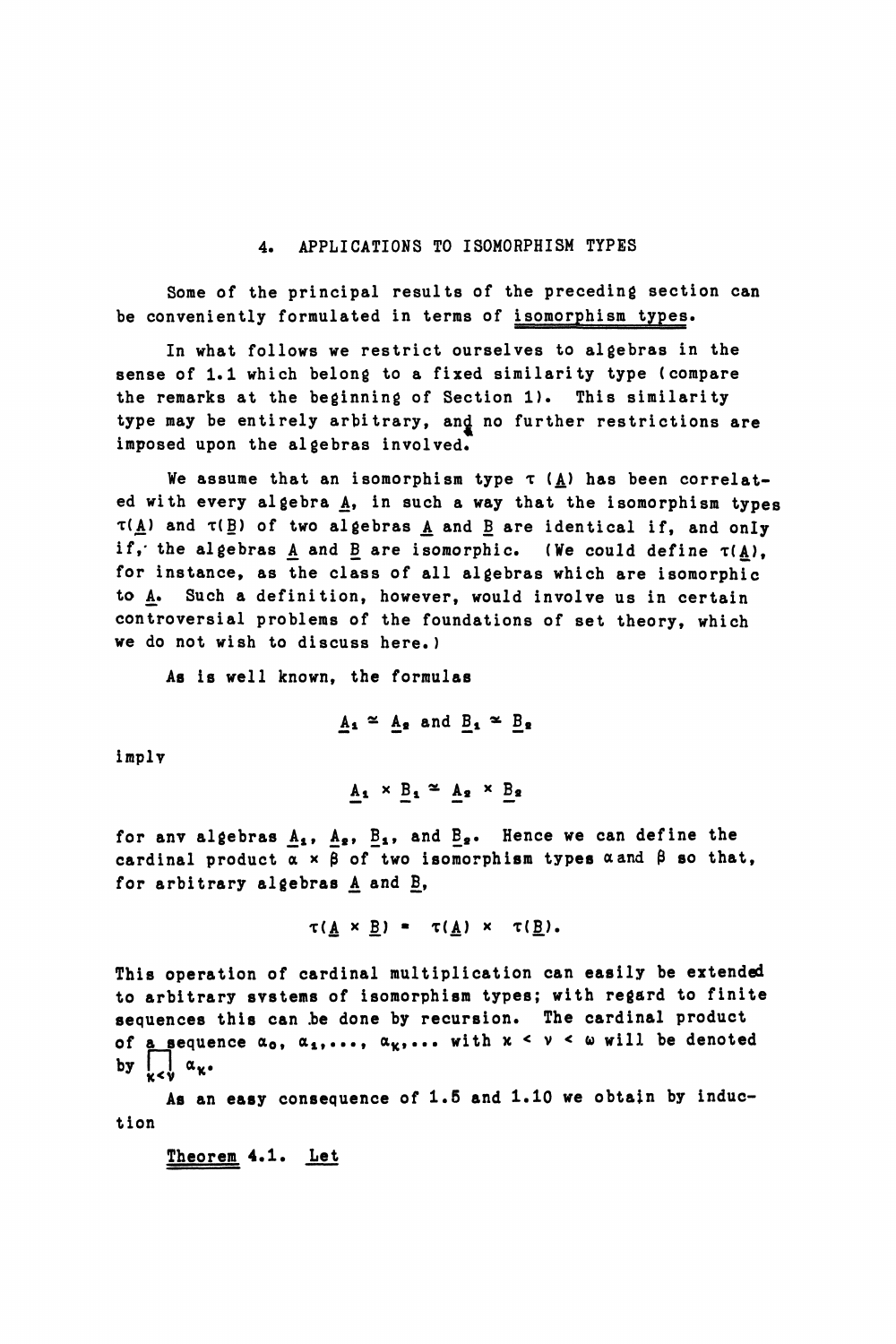#### 4. APPLICATIONS TO ISOMORPHISM TYPES

Some of the principal results of the preceding section can be conveniently formulated in terms of isomorphism types.

In what follows we restrict ourselves to algebras in the sense of 1.1 which belong to a fixed similarity type (compare the remarks at the beginning of Section 1). This similarity type may be entirely arbitrary, and no further restrictions are imposed upon the algebras involved.

We assume that an isomorphism type  $\tau$  ( $\underline{A}$ ) has been correlated with every algebra  $\Delta$ , in such a way that the isomorphism types  $\tau(\underline{A})$  and  $\tau(\underline{B})$  of two algebras  $\underline{A}$  and  $\underline{B}$  are identical if, and only if, the algebras A and B are isomorphic. (We could define  $\tau(A)$ , for instance, as the class of all algebras which are isomorphic to  $A$ . Such a definition, however, would involve us in certain controversial problems of the foundations of set theory, which we do not wish to discuss here.)

As is well known, the formulas

$$
\underline{A_1} \cong \underline{A_2} \text{ and } \underline{B_1} \cong \underline{B_2}
$$

imply

$$
\underline{A_1} \times \underline{B_1} \cong \underline{A_2} \times \underline{B_2}
$$

for anv algebras  $\underline{A}_1$ ,  $\underline{A}_2$ ,  $\underline{B}_1$ , and  $\underline{B}_2$ . Hence we can define the cardinal product  $\alpha \times \beta$  of two isomorphism types  $\alpha$  and  $\beta$  so that, for arbitrary algebras  $A$  and  $B$ ,

$$
\tau(\underline{A} \times \underline{B}) = \tau(\underline{A}) \times \tau(\underline{B}).
$$

This operation of cardinal multiplication can easily be extended to arbitrary svstems of isomorphism types; with regard to finite sequences this can be done by recursion. The cardinal product of a sequence  $\alpha_0$ ,  $\alpha_1, \ldots, \alpha_k, \ldots$  with  $x \leq v \leq \omega$  will be denoted by  $\bigcup_{\kappa < \nu} \alpha_{\kappa}$ .

As an easy consequence of 1.5 and 1.10 we obtain by induction

Theorem 4.1. Let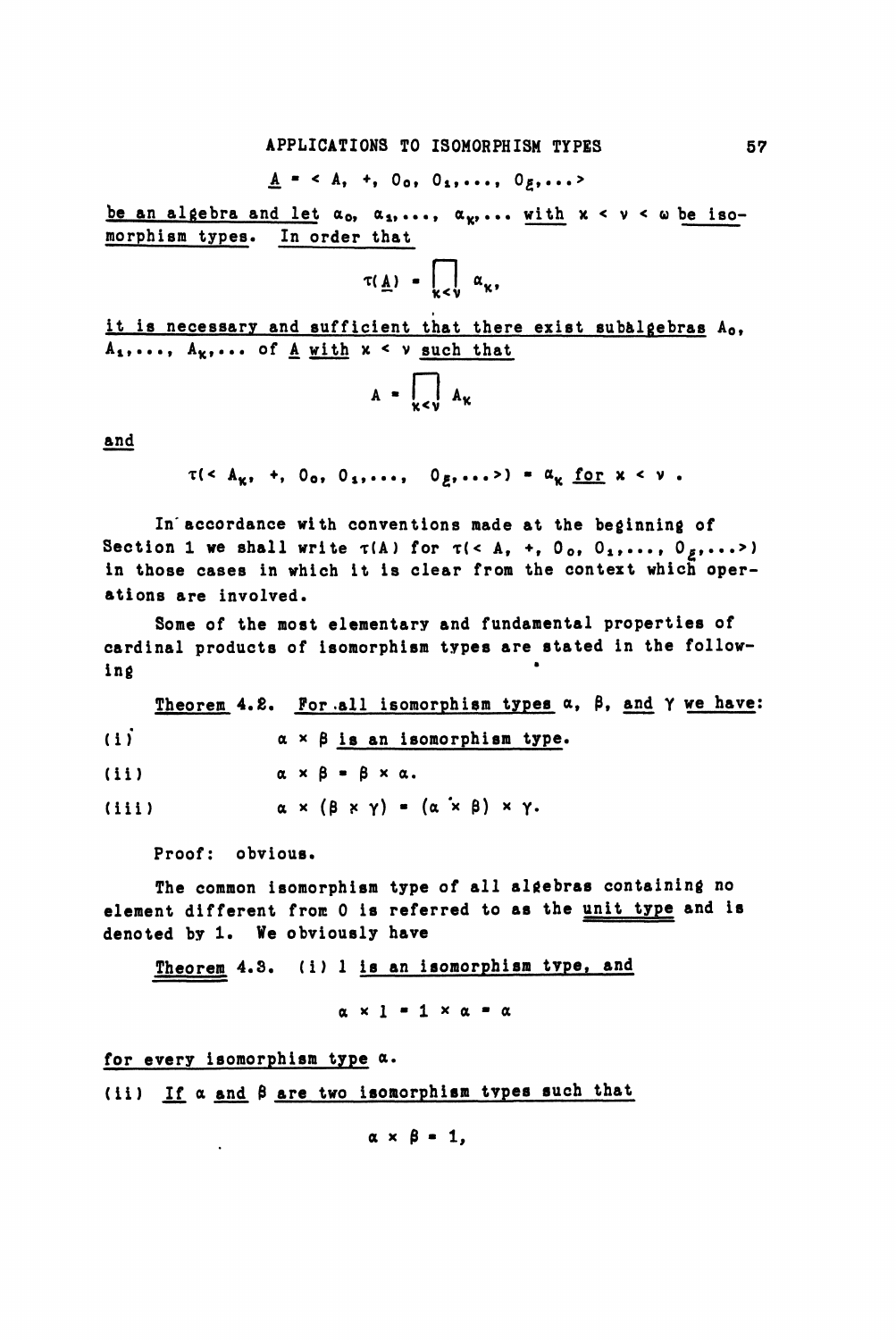### $A = \langle A, +, 0_0, 0_1, \ldots, 0_g, \ldots \rangle$

be an algebra and let  $\alpha_0$ ,  $\alpha_1, \ldots, \alpha_k, \ldots$  with  $x < v < \omega$  be isomorphism types. In order that

$$
\tau(\underline{A}) = \prod_{\kappa < \nu} \alpha_{\kappa},
$$

it is necessary and sufficient that there exist subalgebras Ao,  $A_1, \ldots, A_k, \ldots$  of  $\underline{A}$  with  $x < v$  such that

$$
A = \bigcup_{\kappa < \nu} A_{\kappa}
$$

and

$$
r(< A_{K}, +, 0_{0}, 0_{1}, \ldots, 0_{E}, \ldots>) = a_{K} \underline{for} x < V.
$$

In'accordance with conventions made at the beginning of Section 1 we shall write  $\tau(A)$  for  $\tau$ (< A, +, O<sub>o</sub>, O<sub>1</sub>,..., O<sub>z</sub>,...>) in those cases in which it is clear from the context which operations are involved.

Some of the most elementary and fundamental properties of cardinal products of isomorphism types are stated in the following

Theorem 4.2. For all isomorphism types  $\alpha$ ,  $\beta$ , and  $\gamma$  we have: (i)  $\alpha \times \beta$  is an isomorphism type. (ii)  $\alpha \times \beta = \beta \times \alpha$ . (iii)  $\alpha \times (\beta \times \gamma) = (\alpha \times \beta) \times \gamma$ .

Proof: obvious.

The common isomorphism type of all algebras containing no element different from 0 is referred to as the unit type and is denoted by 1. We obviously have

Theorem 4.3. (i) 1 is an isomorphism type, and

 $\alpha \times 1 = 1 \times \alpha = \alpha$ 

for every isomorphism type a.

 $\mathbf{r}$ 

(ii) If  $\alpha$  and  $\beta$  are two isomorphism types such that

 $\alpha \times \beta = 1$ ,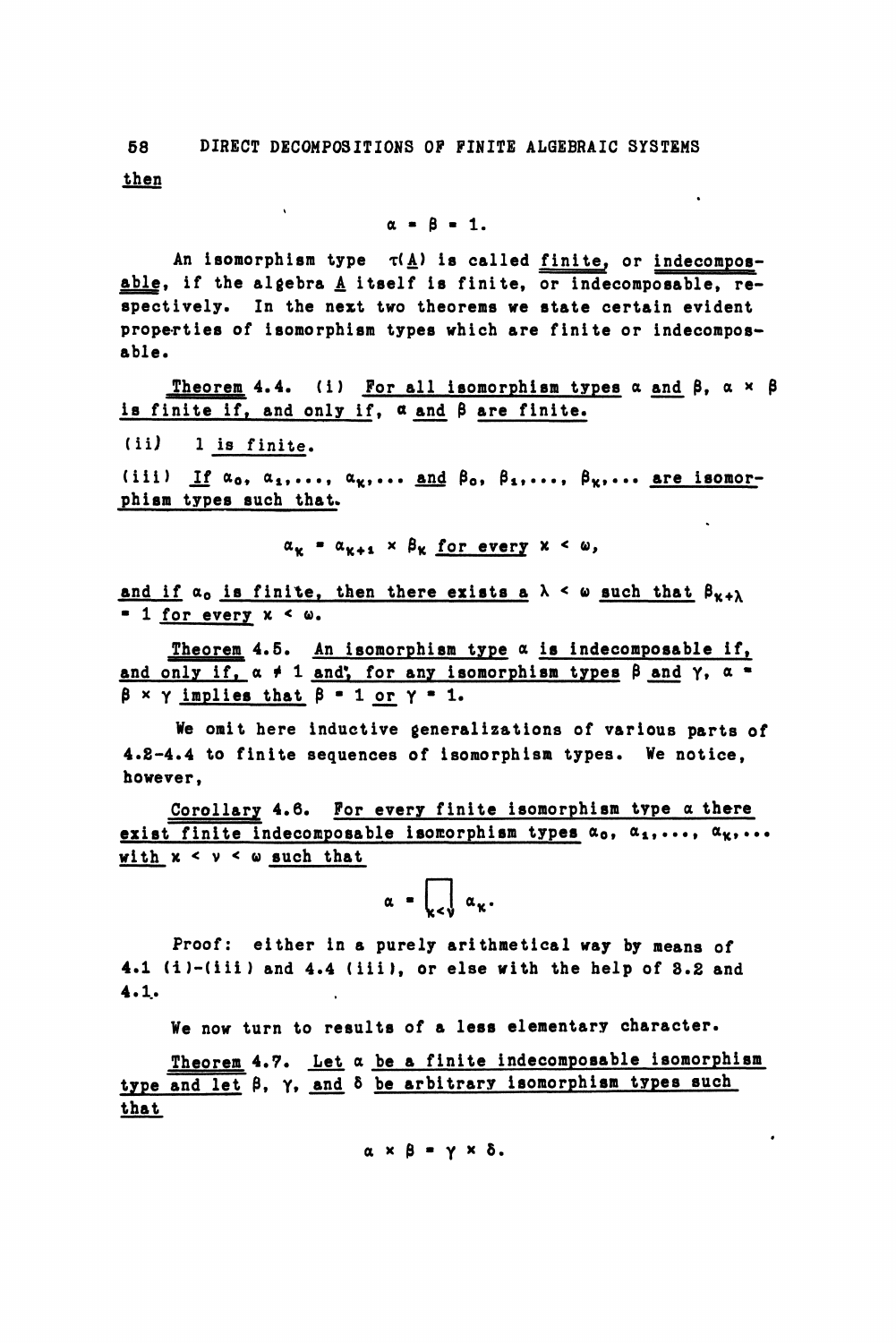then

### $\alpha = \beta = 1$ .

An isomorphism type  $\tau(\underline{A})$  is called finite, or indecomposable, if the algebra  $\underline{A}$  itself is finite, or indecomposable, respectively. In the next two theorems we state certain evident properties of isomorphism types which are finite or indecomposable.

Theorem 4.4. (i) For all isomorphism types  $\alpha$  and  $\beta$ ,  $\alpha \times \beta$ is finite if, and only if,  $\alpha$  and  $\beta$  are finite.

(iij 1 is finite.

 $\ddot{\phantom{a}}$ 

(iii) If  $\alpha_0, \alpha_1, \ldots, \alpha_k, \ldots$  and  $\beta_0, \beta_1, \ldots, \beta_k, \ldots$  are isomorphism types such that.

 $\alpha_k = \alpha_{k+1} \times \beta_k$  for every  $x < \omega$ ,

and if  $\alpha_0$  is finite, then there exists a  $\lambda < \omega$  such that  $\beta_{K+\lambda}$  $= 1$  for every  $x < \omega$ .

Theorem 4.5. An isomorphism type  $\alpha$  is indecomposable if, and only if,  $\alpha \neq 1$  and, for any isomorphism types  $\beta$  and  $\gamma$ ,  $\alpha$  \*  $\beta$  x  $\gamma$  implies that  $\beta$  = 1 or  $\gamma$  = 1.

We omit here inductive generalizations of various parts of 4.8-4.4 to finite sequences of isomorphism types. We notice, however,

Corollary 4.6. For every finite isomorphism type a there exist finite indecomposable isomorphism types  $\alpha_0$ ,  $\alpha_1, \ldots, \alpha_k, \ldots$ with  $x < y < \omega$  such that

$$
\alpha = \bigcap_{\kappa < \nu} \alpha_{\kappa}.
$$

Proof: either in a purely arithmetical way by means of 4.1 (i)-(iii) and 4.4 (iii), or else with the help of 3.2 and 4.1..

We now turn to results of a less elementary character.

Theorem 4.7. Let  $\alpha$  be a finite indecomposable isomorphism type and let  $\beta$ ,  $\gamma$ , and  $\delta$  be arbitrary isomorphism types such that

 $\alpha \times \beta = \gamma \times \delta$ .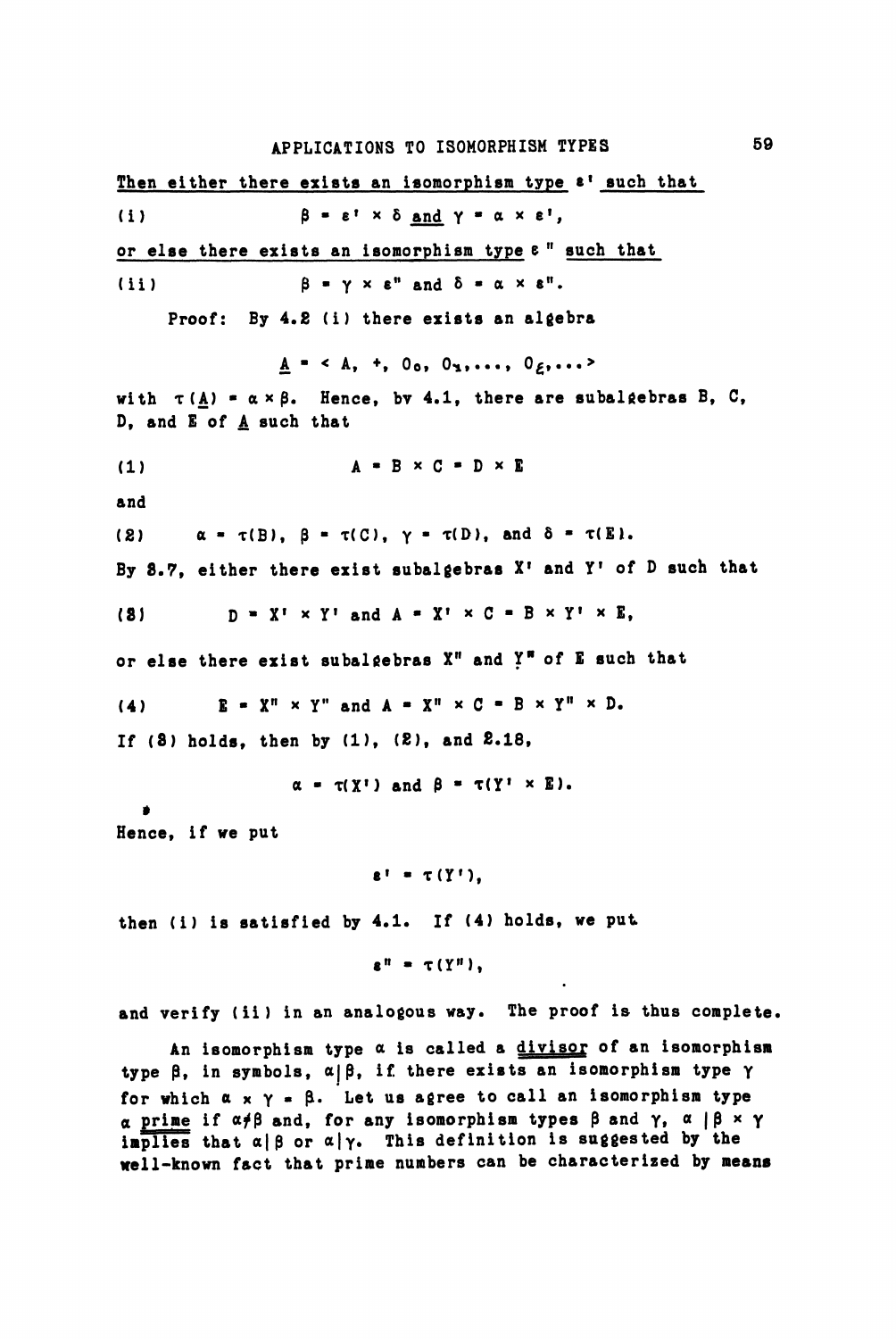Then either there exists an isomorphism type  $\varepsilon$ <sup>1</sup> such that (1)  $\beta = \varepsilon' \times \delta$  and  $\gamma = \alpha \times \varepsilon'$ , or else there exists an isomorphism type  $e<sup>n</sup>$  such that (ii)  $\beta = \gamma \times \epsilon^n$  and  $\delta = \alpha \times \epsilon^n$ . Proof: By 4.8 (i) there exists an algebra  $A = \langle A, +, 0_0, 0_1, \ldots, 0_{\ell}, \ldots \rangle$ with  $\tau(\underline{A}) = \alpha \times \beta$ . Hence, by 4.1, there are subalgebras B, C, D, and E of  $A$  such that (1)  $A = B \times C = D \times E$ and (2)  $\alpha = \tau(B)$ ,  $\beta = \tau(C)$ ,  $\gamma = \tau(D)$ , and  $\delta = \tau(E)$ . By 8.7, either there exist subalgebras  $X<sup>T</sup>$  and  $Y<sup>T</sup>$  of D such that (8)  $D = X^T \times Y^T$  and  $A = X^T \times C = B \times Y^T \times E$ , or else there exist subalgebras X" and Y" of E such that (4)  $E = X^n \times Y^n$  and  $A = X^n \times C = B \times Y^n \times D$ . If (8) holds, then by (1), (2), and £.18,  $\alpha = \tau(Y^{\dagger})$  and  $\beta = \tau(Y^{\dagger} \times E)$ . » Hence, if we put  $\epsilon^{\dagger} = \tau(Y^{\dagger})$ , then (i) is satisfied by 4.1. If (4) holds, we put  $\epsilon^n = \tau(Y^n)$ . and verify (ii) in an analogous way. The proof is thus complete.

An isomorphism type  $\alpha$  is called a divisor of an isomorphism type  $\beta$ , in symbols,  $\alpha | \beta$ , if there exists an isomorphism type  $\gamma$ for which  $\alpha$  x  $\gamma$  =  $\beta$ . Let us agree to call an isomorphism type  $\alpha$  prime if  $\alpha\neq\beta$  and, for any isomorphism types  $\beta$  and  $\gamma$ ,  $\alpha$  |  $\beta$  x  $\gamma$ implies that  $\alpha | \beta$  or  $\alpha | \gamma$ . This definition is suggested by the well-known fact that prime numbers can be characterized by means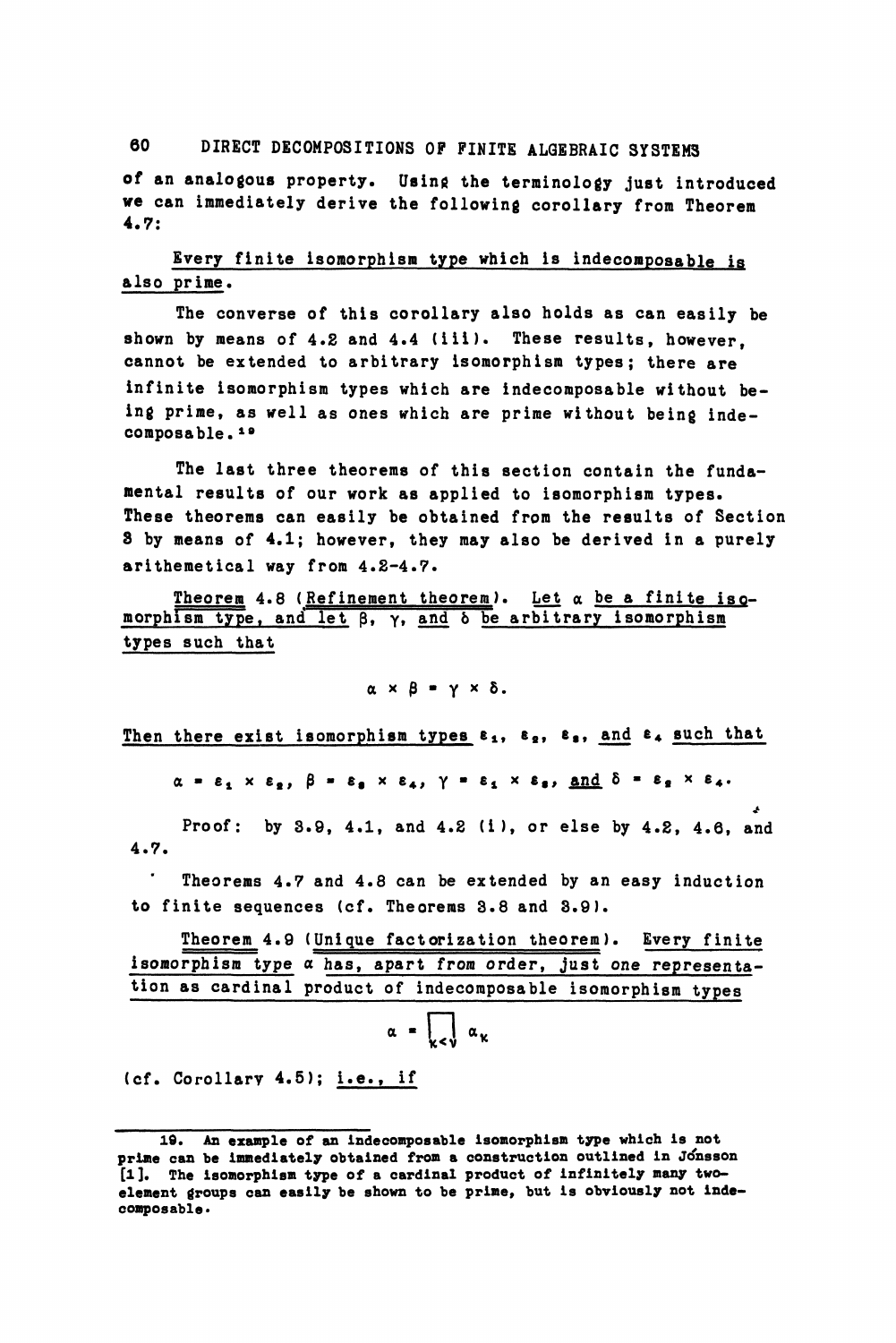## 60 DIRECT DECOMPOSITIONS OP FINITE ALGEBRAIC SYSTEMS

of an analogous property. Using the terminology just introduced we can immediately derive the following corollary from Theorem 4.7:

# Every finite isomorphism type which is indecomposable is also prime.

The converse of this corollary also holds as can easily be shown by means of  $4.2$  and  $4.4$  (iii). These results, however, cannot be extended to arbitrary isomorphism types; there are infinite isomorphism types which are indecomposable without being prime, as well as ones which are prime without being indecomposable.<sup>10</sup>

The last three theorems of this section contain the fundamental results of our work as applied to isomorphism types. These theorems can easily be obtained from the results of Section 3 by means of 4.1; however, they may also be derived in a purely arithemetical way from 4.2-4.7.

Theorem 4.8 (Refinement theorem). Let  $\alpha$  be a finite isomorphism type, and let  $\beta$ ,  $\gamma$ , and  $\delta$  be arbitrary isomorphism types such that

#### $\alpha \times \beta = \gamma \times \delta$ .

Then there exist isomorphism types  $\varepsilon_1$ ,  $\varepsilon_2$ ,  $\varepsilon_3$ , and  $\varepsilon_4$  such that

 $\alpha = \varepsilon_1 \times \varepsilon_2$ ,  $\beta = \varepsilon_3 \times \varepsilon_4$ ,  $\gamma = \varepsilon_1 \times \varepsilon_3$ , <u>and</u>  $\delta = \varepsilon_2 \times \varepsilon_4$ .

<\*

Proof: by 3.9, 4.1, and 4.2 (i), or else by 4.2, 4.6, and 4.7.

Theorems 4.7 and 4.8 can be extended by an easy induction to finite sequences (cf. Theorems 3.8 and 3.9).

Theorem 4.9 (Unique factorization theorem). Every finite isomorphism type a has, apart from order, just one representation as cardinal product of indecomposable isomorphism types

$$
\alpha = \bigcup_{\kappa < \nu} \alpha_{\kappa}
$$

(cf. Corollarv 4.5); i.e., if

**<sup>19.</sup> An example of an indecomposable isomorphism type which is not prime can be immediately obtained from a construction outlined in Jonsson [1], The isomorphism type of a cardinal product of infinitely many twoelement groups can easily be shown to be prime, but is obviously not indecomposable\***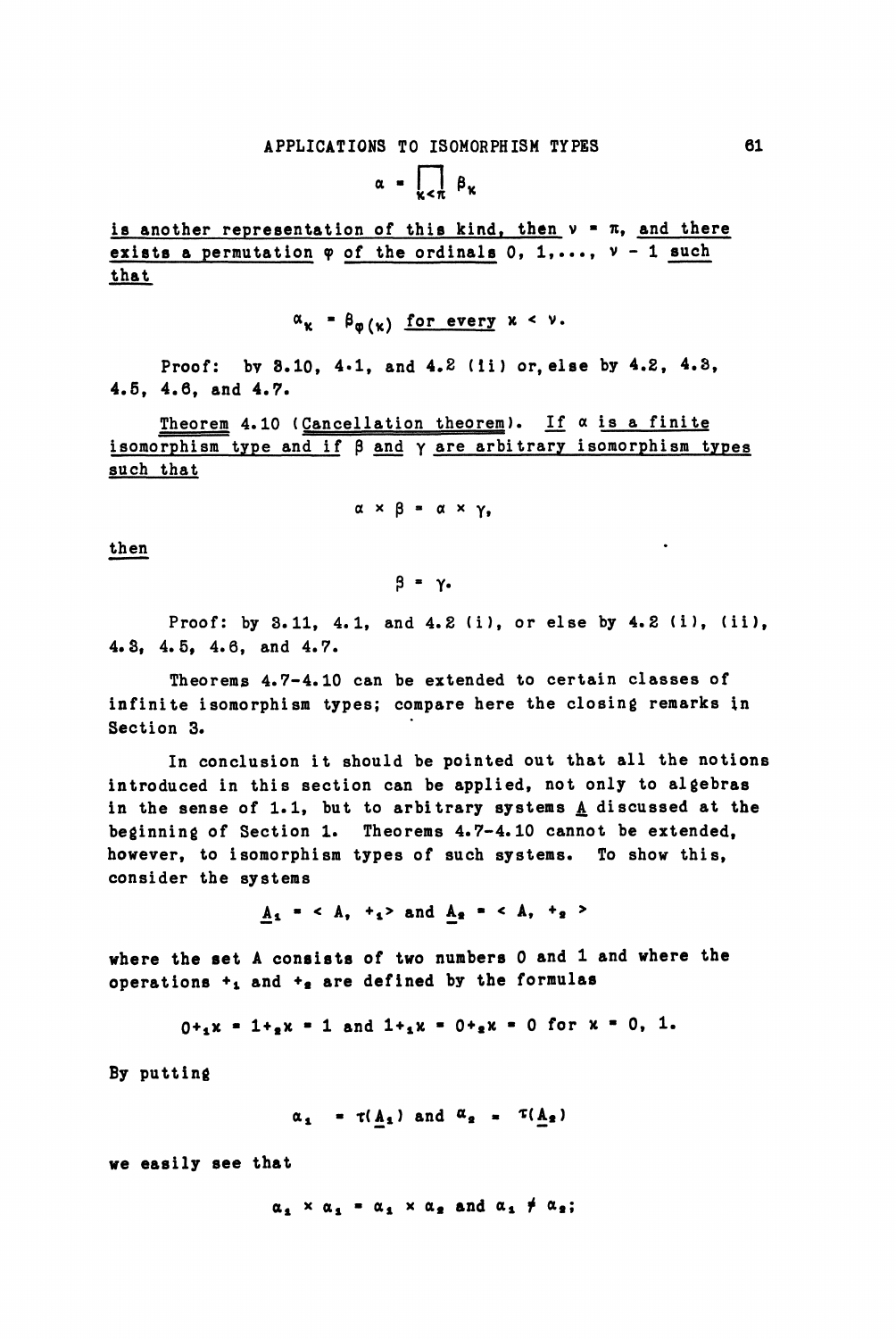$\alpha = \prod_{\kappa < \pi} \beta_{\kappa}$ 

is another representation of this kind, then  $v = \pi$ , and there exists a permutation  $\varphi$  of the ordinals 0, 1,...,  $\nu$  - 1 such that

 $\alpha_{\kappa} = \beta_{\omega(\kappa)}$  for every  $\kappa < \nu$ .

Proof: by 3.10, 4.1, and 4.2 (ii) or, else by 4.2, 4.3, 4.5, 4.6, and 4.7.

Theorem 4.10 (Cancellation theorem). If  $\alpha$  is a finite isomorphism type and if  $\beta$  and  $\gamma$  are arbitrary isomorphism types such that

 $\alpha \times \beta = \alpha \times \gamma$ ,

then

 $\beta$  =  $\gamma$ .

Proof: by 3.11, 4.1, and 4.2 (i), or else by 4.2 (i), (ii), 4.3, 4.5, 4.6, and 4.7.

Theorems 4.7-4.10 can be extended to certain classes of infinite isomorphism types; compare here the closing remarks in Section 3.

In conclusion it should be pointed out that all the notions introduced in this section can be applied, not only to algebras in the sense of 1.1, but to arbitrary systems A discussed at the beginning of Section 1. Theorems 4.7-4.10 cannot be extended, however, to isomorphism types of such systems. To show this, consider the systems

 $A_1 = \langle A_1 +_1 \rangle$  and  $A_2 = \langle A_1 +_2 \rangle$ 

where the set A consists of two numbers 0 and 1 and where the operations  $+<sub>1</sub>$  and  $+<sub>2</sub>$  are defined by the formulas

$$
0+_{1}x = 1+_{2}x = 1
$$
 and  $1+_{1}x = 0+_{2}x = 0$  for  $x = 0$ , 1.

By putting

 $\alpha_1 = \tau(\underline{A}_1)$  and  $\alpha_2 = \tau(\underline{A}_2)$ 

we easily see that

 $\alpha_1 \times \alpha_2 = \alpha_1 \times \alpha_2$  and  $\alpha_1 \neq \alpha_2$ ;